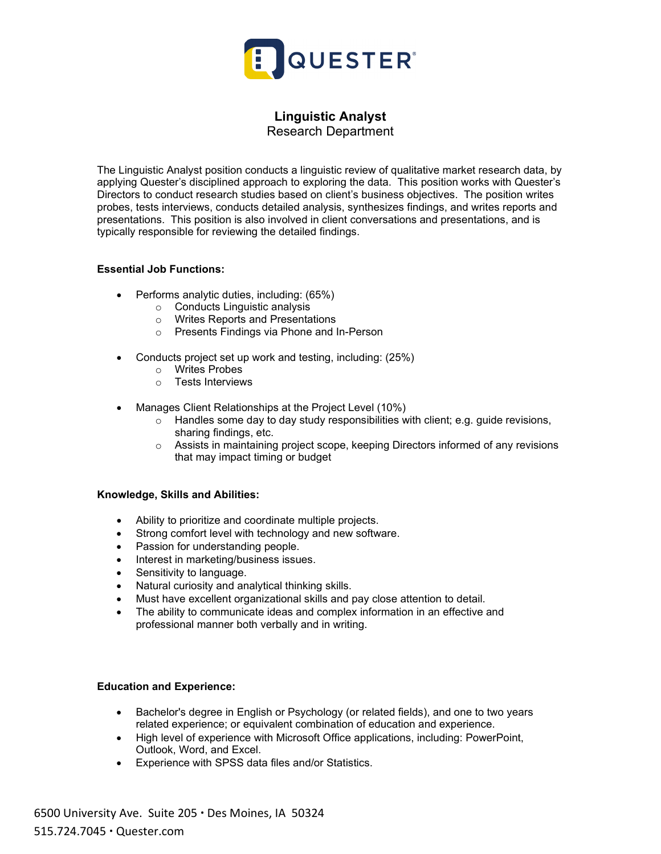

## **Linguistic Analyst** Research Department

The Linguistic Analyst position conducts a linguistic review of qualitative market research data, by applying Quester's disciplined approach to exploring the data. This position works with Quester's Directors to conduct research studies based on client's business objectives. The position writes probes, tests interviews, conducts detailed analysis, synthesizes findings, and writes reports and presentations. This position is also involved in client conversations and presentations, and is typically responsible for reviewing the detailed findings.

## **Essential Job Functions:**

- Performs analytic duties, including: (65%)
	- o Conducts Linguistic analysis
	- o Writes Reports and Presentations
	- o Presents Findings via Phone and In-Person
- Conducts project set up work and testing, including: (25%)
	- o Writes Probes
	- o Tests Interviews
- Manages Client Relationships at the Project Level (10%)
	- o Handles some day to day study responsibilities with client; e.g. guide revisions, sharing findings, etc.
	- o Assists in maintaining project scope, keeping Directors informed of any revisions that may impact timing or budget

## **Knowledge, Skills and Abilities:**

- Ability to prioritize and coordinate multiple projects.
- Strong comfort level with technology and new software.
- Passion for understanding people.
- Interest in marketing/business issues.
- Sensitivity to language.
- Natural curiosity and analytical thinking skills.
- Must have excellent organizational skills and pay close attention to detail.
- The ability to communicate ideas and complex information in an effective and professional manner both verbally and in writing.

## **Education and Experience:**

- Bachelor's degree in English or Psychology (or related fields), and one to two years related experience; or equivalent combination of education and experience.
- High level of experience with Microsoft Office applications, including: PowerPoint, Outlook, Word, and Excel.
- Experience with SPSS data files and/or Statistics.